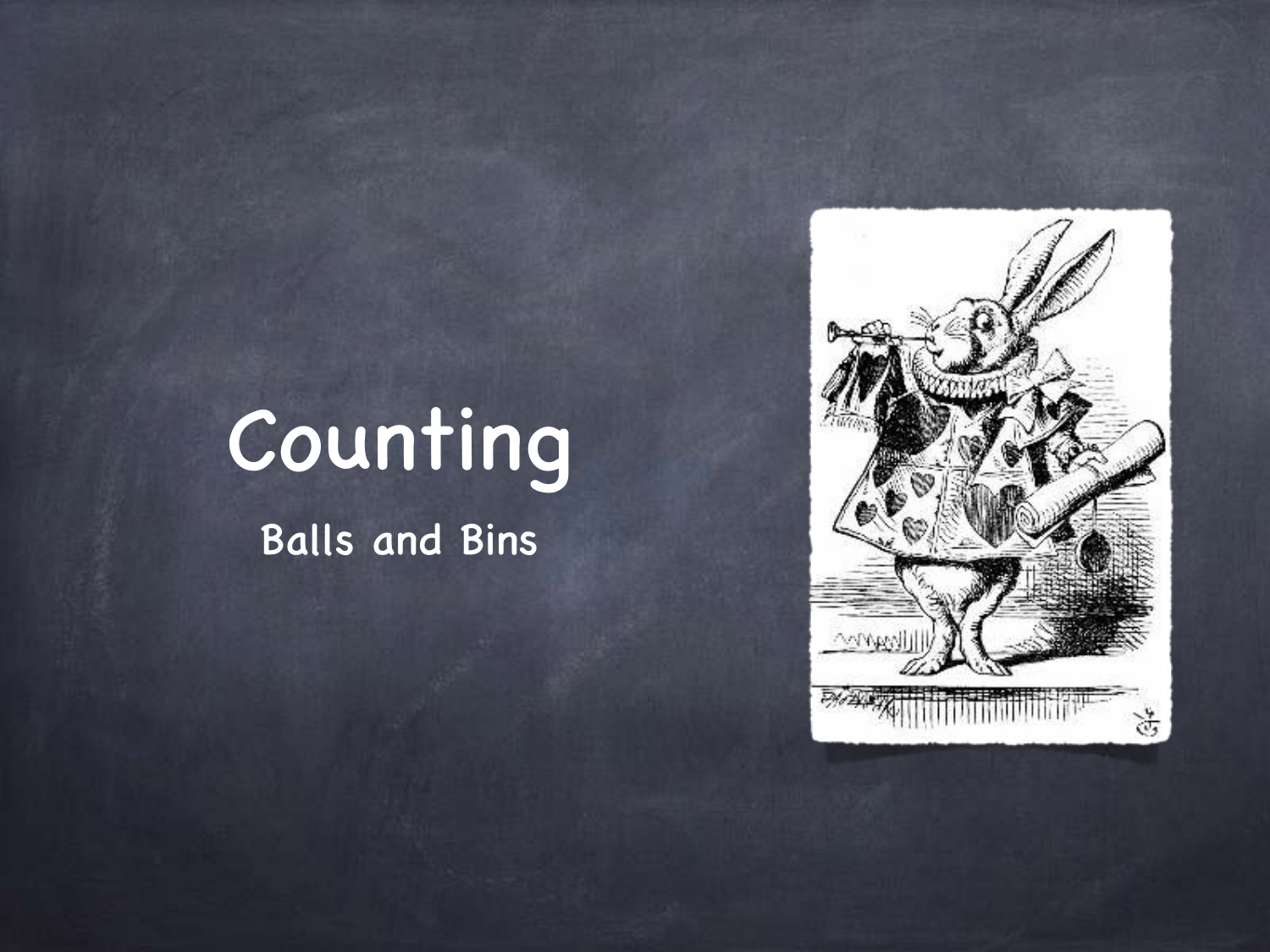

# Counting

Balls and Bins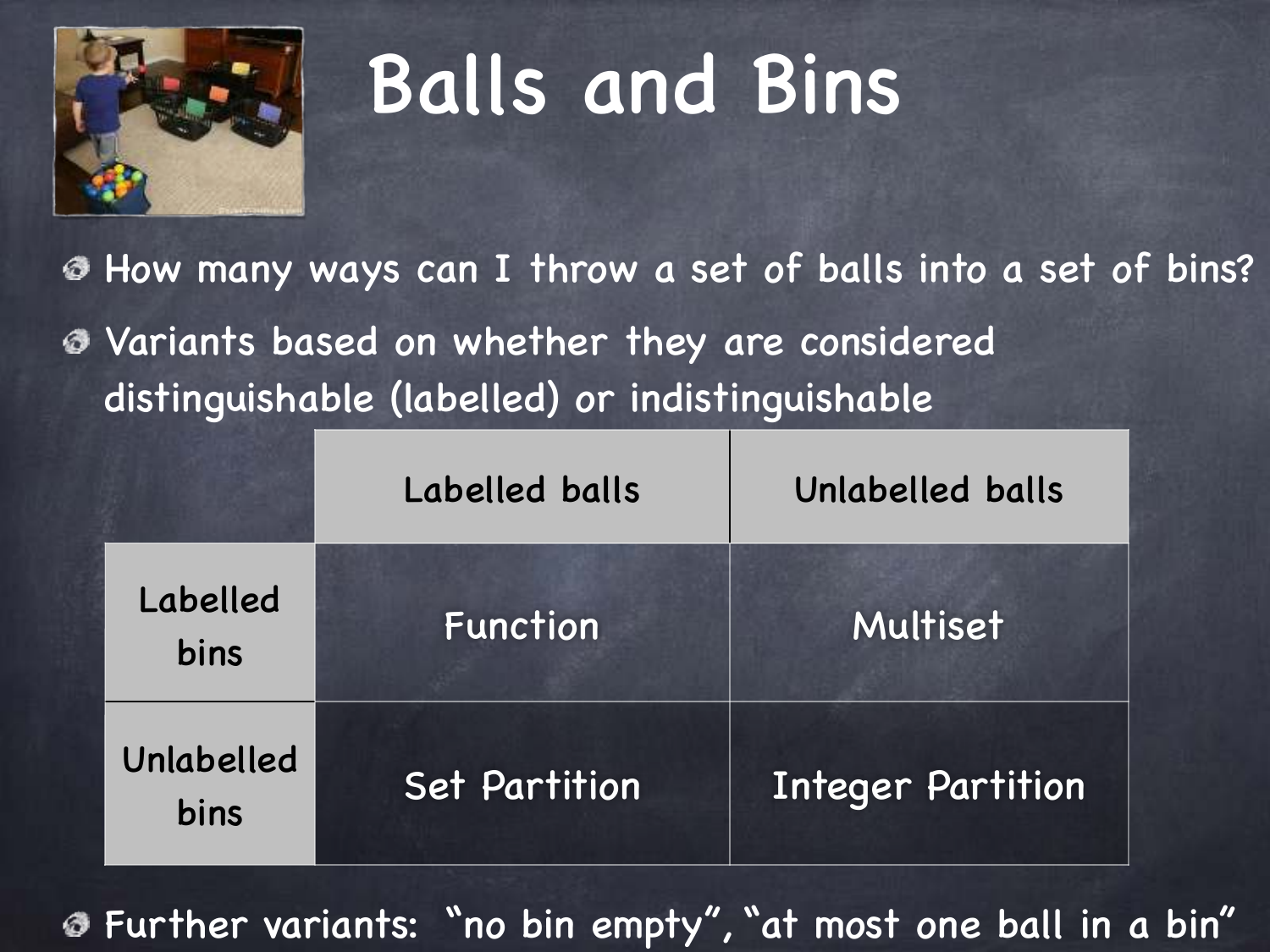

How many ways can I throw a set of balls into a set of bins? Variants based on whether they are considered distinguishable (labelled) or indistinguishable

|                    | Labelled balls       | Unlabelled balls  |  |  |
|--------------------|----------------------|-------------------|--|--|
| Labelled<br>bins   | Function             | Multiset          |  |  |
| Unlabelled<br>bins | <b>Set Partition</b> | Integer Partition |  |  |

Further variants: "no bin empty", "at most one ball in a bin"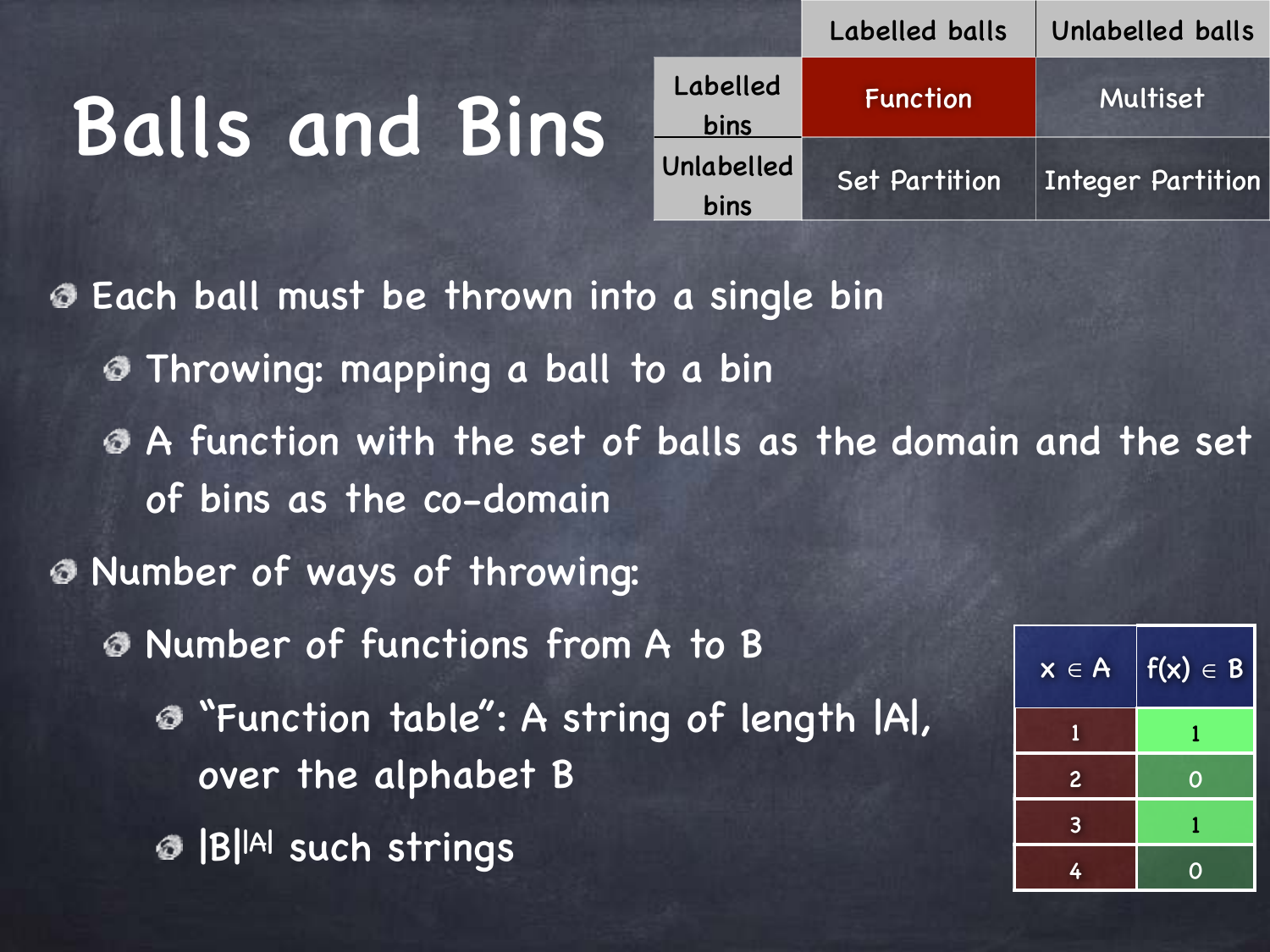|                    | Labelled balls  | Unlabelled balls         |
|--------------------|-----------------|--------------------------|
| Labelled<br>bins   | <b>Function</b> | Multiset                 |
| Unlabelled<br>bins | Set Partition   | <b>Integer Partition</b> |

Each ball must be thrown into a single bin ⊛ Throwing: mapping a ball to a bin A function with the set of balls as the domain and the set of bins as the co-domain Number of ways of throwing: Number of functions from A to B  $x \in A$  |  $f(x) \in B$ "Function table": A string of length |A|, 1 1 over the alphabet B 2 0 3 1 B||A| such strings 4 0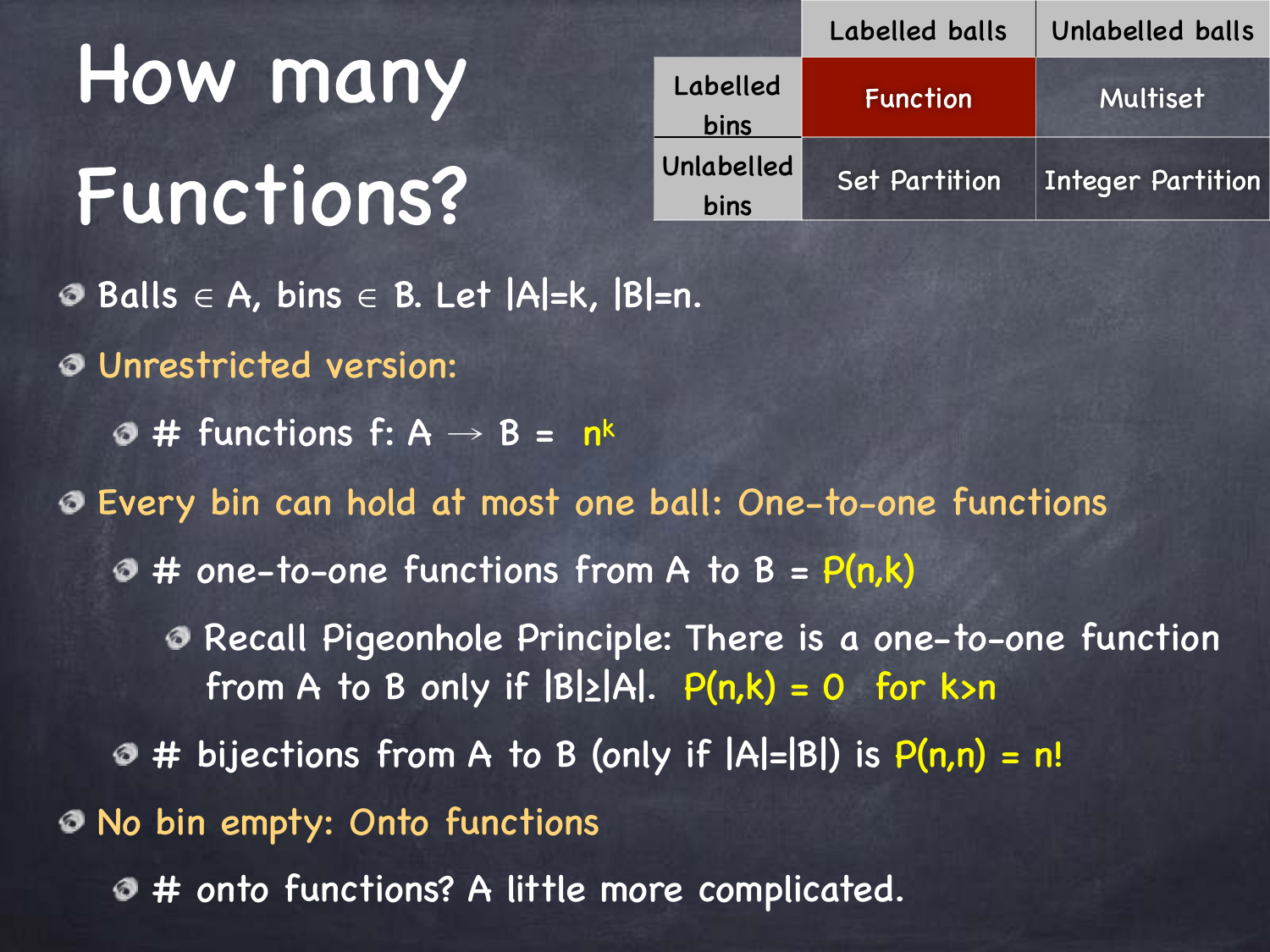How many Functions?

|                    | Labelled balls       | Unlabelled balls         |
|--------------------|----------------------|--------------------------|
| Labelled<br>bins   | Function             | Multiset                 |
| Unlabelled<br>bins | <b>Set Partition</b> | <b>Integer Partition</b> |

 $\odot$  Balls ∈ A, bins ∈ B. Let |A|=k, |B|=n.

- Unrestricted version:
	- $\odot$  # functions f: A  $\rightarrow$  B = n<sup>k</sup>

Every bin can hold at most one ball: One-to-one functions

- $\odot$  # one-to-one functions from A to B =  $P(n,k)$ 
	- Recall Pigeonhole Principle: There is a one-to-one function from A to B only if  $|B|\geq |A|$ .  $P(n,k) = 0$  for k>n
- $\odot$  # bijections from A to B (only if  $|A|=|B|$ ) is  $P(n,n) = n!$
- No bin empty: Onto functions
	- $\bullet$  **# onto functions? A little more complicated.**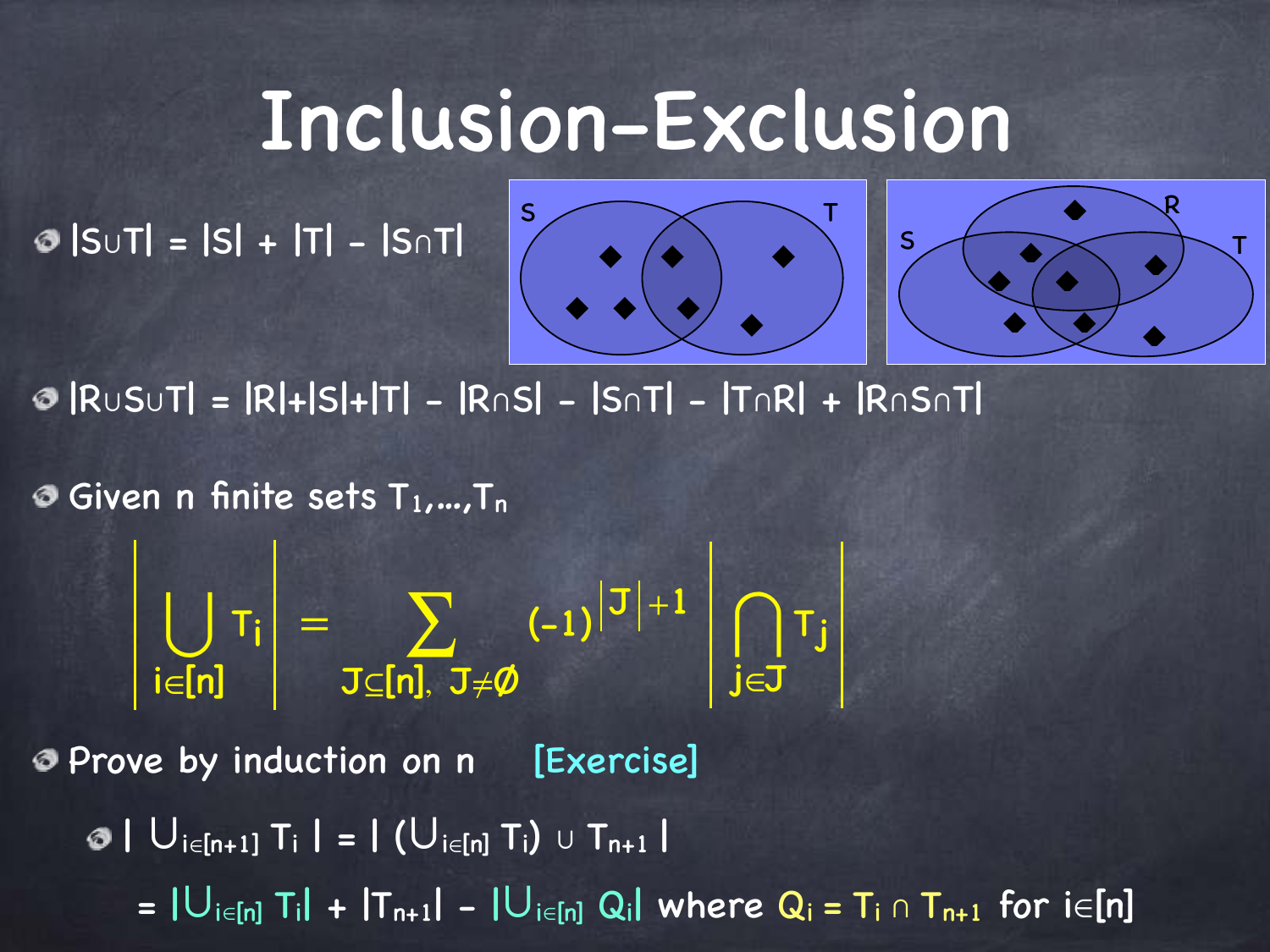#### Inclusion-Exclusion

|S∪T| = |S| + |T| - |S∩T|



|R∪S∪T| = |R|+|S|+|T| - |R∩S| - |S∩T| - |T∩R| + |R∩S∩T|

 $\odot$  Given n finite sets  $T_1,...,T_n$ 

⋃ i∈[n]  $|T_i| = \sum$ J⊆[n], J≠Ø  $_{(-1)}^{\mid\mathfrak{J}\mid +1}$  $\mathbf{h}$ j∈J Tj

Prove by induction on n [Exercise]

 $\bullet \mid U_{i\in[n+1]}$  T<sub>i</sub>  $\mid$  =  $\mid (U_{i\in[n]}$  T<sub>i</sub>) ∪ T<sub>n+1</sub> |

 $= |U_{i\in[n]}T_i| + |T_{n+1}| - |U_{i\in[n]}Q_i|$  where  $Q_i = T_i \cap T_{n+1}$  for  $i\in[n]$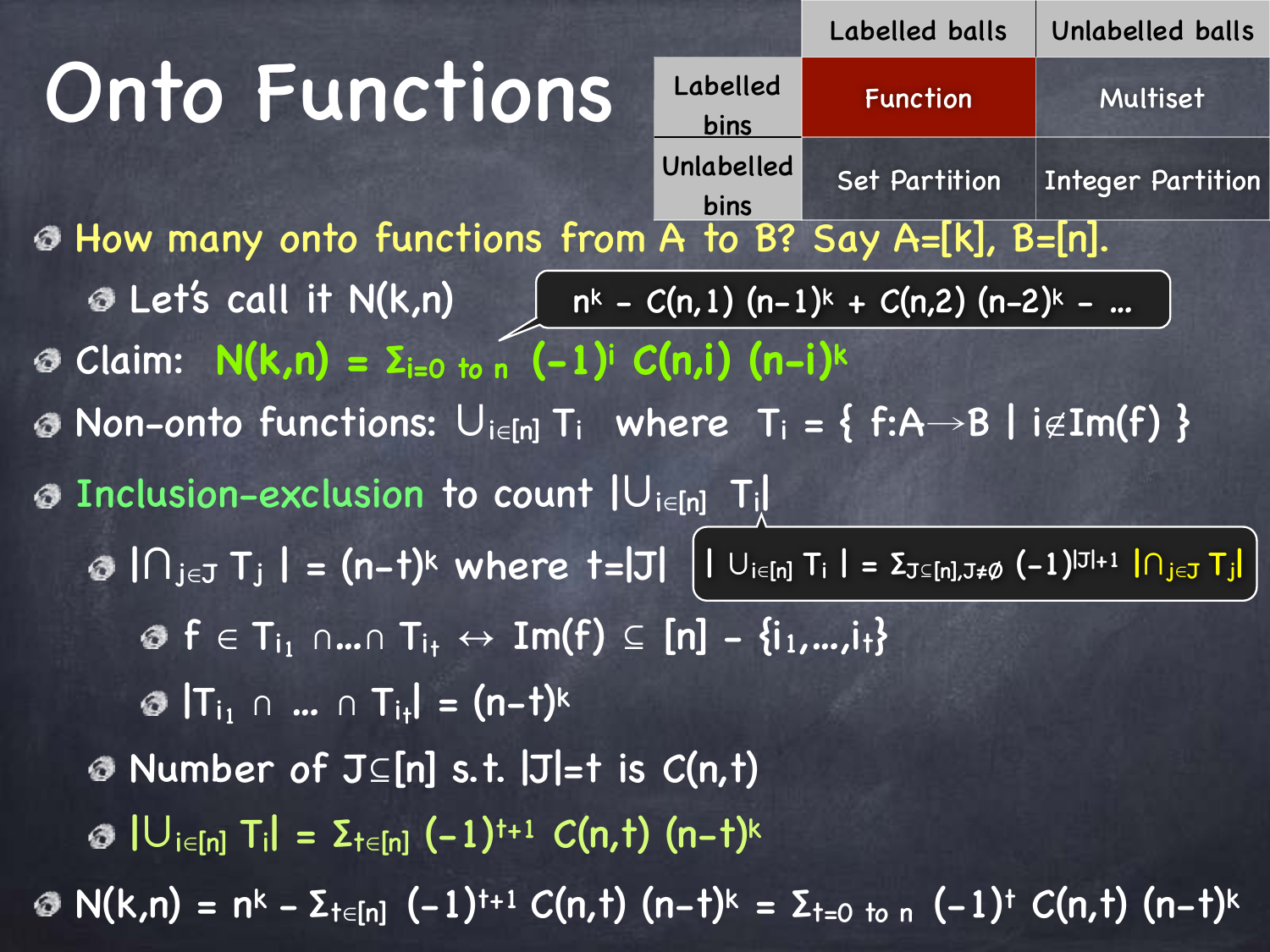## Onto Functions

How many onto functions from A to B? Say A=[k], B=[n]. Let's call it N(k,n) nk - C(n,1) (n-1)k + C(n,2) (n-2)k - … Claim: **N(k,n) = Σi=0 to n (-1)i C(n,i) (n-i)<sup>k</sup>**  $\bullet$  Non-onto functions:  $\bigcup_{i\in[n]}T_i$  where  $T_i = \{ f:A \rightarrow B | i \notin Im(f) \}$ Inclusion-exclusion to count |∪i∈[n] Ti<sup>|</sup> | ∩<sub>j∈J</sub> T<sub>j</sub> | = (n-t)<sup>k</sup> where t=|J| | U<sub>i∈[n]</sub> T<sub>i</sub> | = Σ<sub>J⊆[n],J≠Ø (-1)<sup>|J|+1</sup> | ∩<sub>j∈J</sub> Tj|</sub>  $\mathcal{F} \in T_{i_1} \cap ... \cap T_{i_t} \leftrightarrow \text{Im}(f) \subseteq [n] - \{i_1,...,i_t\}$  $|T_{i_1} \cap ... \cap T_{i_t}| = (n-t)^k$ Number of J⊆[n] s.t. |J|=t is C(n,t)  $\odot$  | U<sub>i∈[n]</sub> T<sub>i</sub>| =  $\Sigma$ <sub>t∈[n]</sub> (-1)<sup>t+1</sup> C(n, t) (n-t)<sup>k</sup>  $\textcircled{ }N(k,n) = n^k - \sum_{t \in [n]} (-1)^{t+1} C(n,t)$  (n-t)<sup>k</sup> = Σ<sub>t=0 to n</sub> (-1)<sup>t</sup> C(n,t) (n-t)<sup>k</sup> Labelled bins Function Multiset Unlabelled bins Set Partition | Integer Partition

Labelled balls Unlabelled balls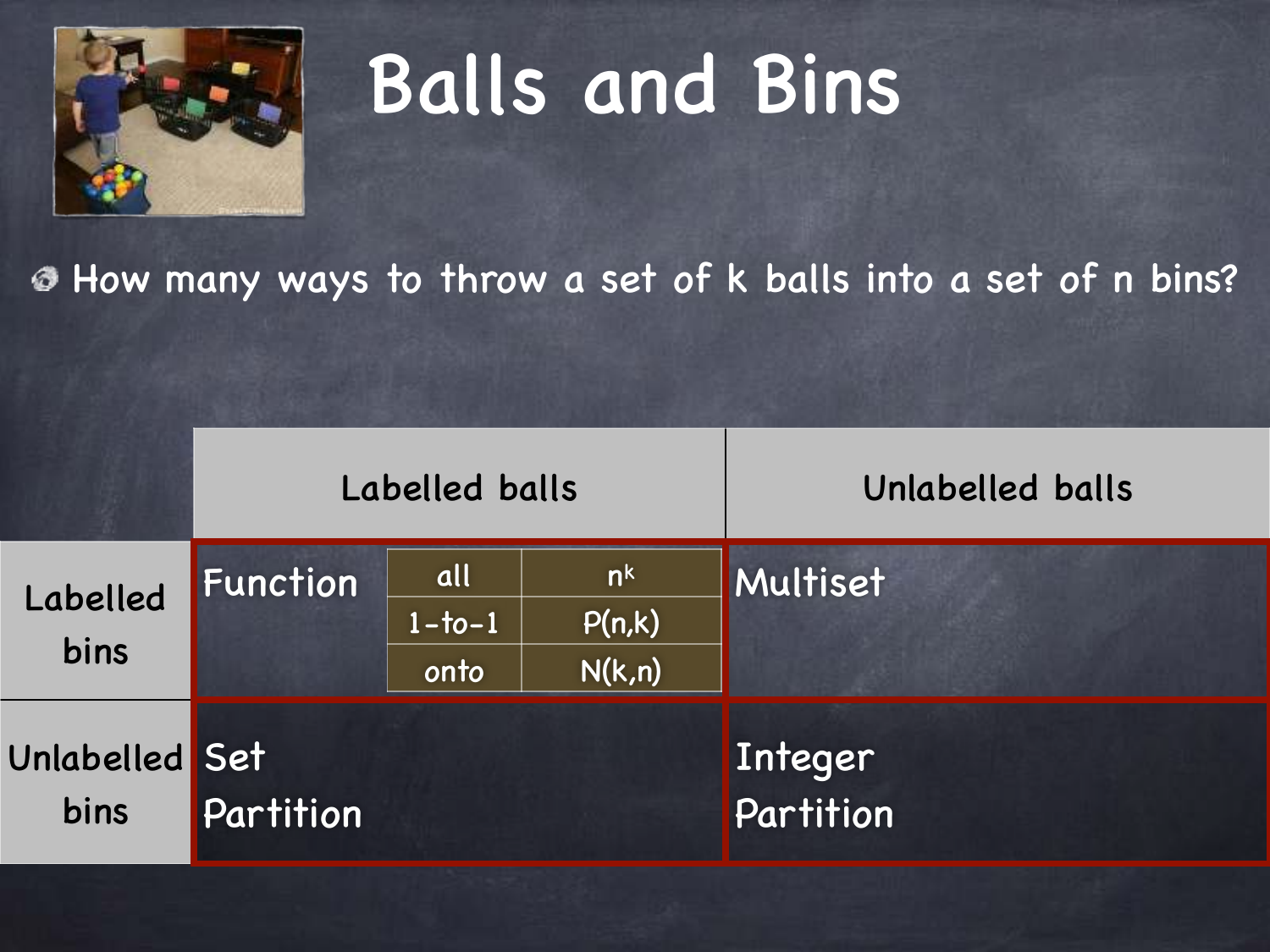

|                         | Labelled balls |                            |                                    | Unlabelled balls     |
|-------------------------|----------------|----------------------------|------------------------------------|----------------------|
| Labelled<br><b>bins</b> | Function       | all<br>$1 - 1 - 1$<br>onto | n <sup>k</sup><br>P(n,k)<br>N(k,n) | Multiset             |
| Unlabelled Set<br>bins  | Partition      |                            |                                    | Integer<br>Partition |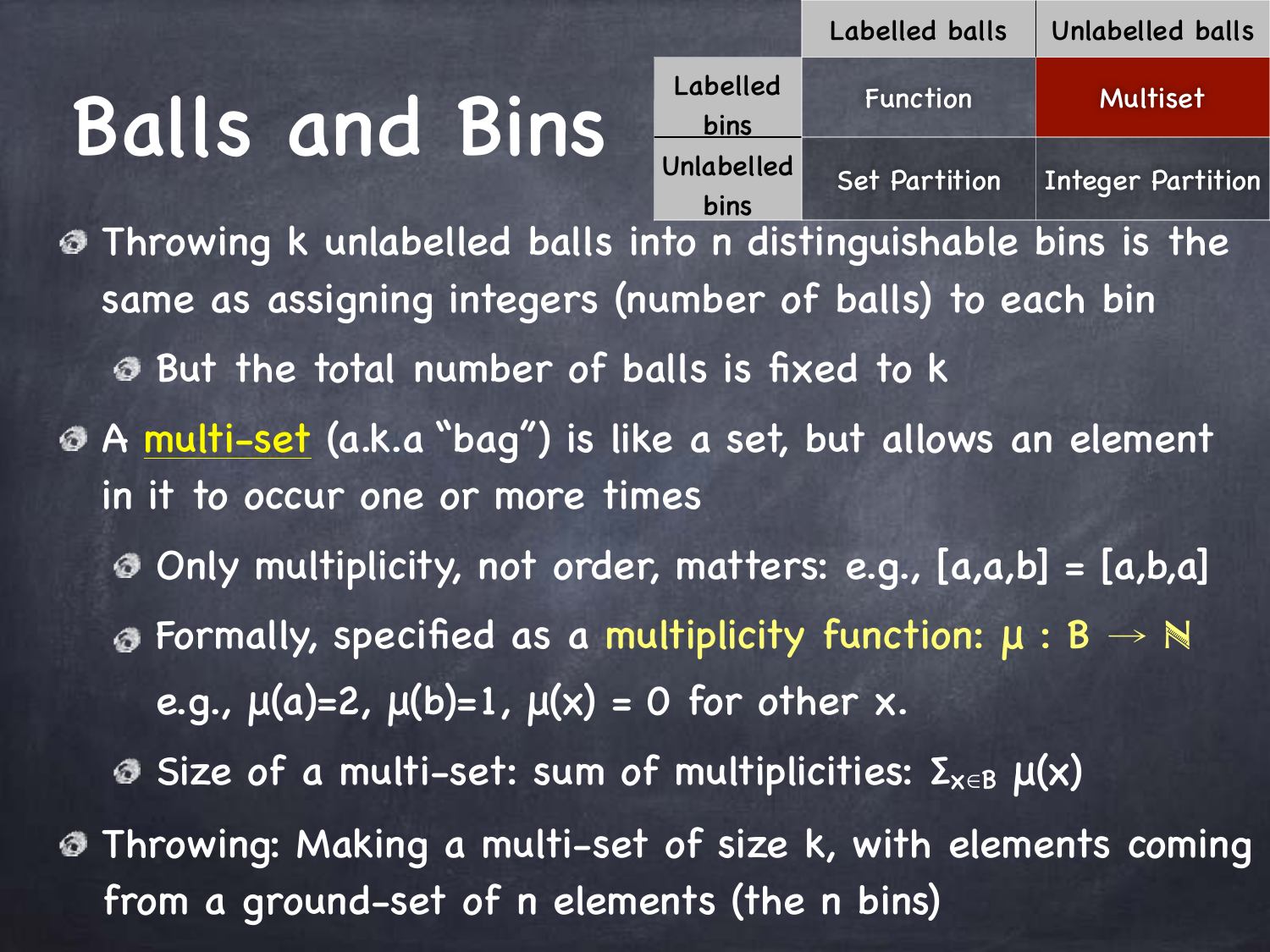

Throwing k unlabelled balls into n distinguishable bins is the same as assigning integers (number of balls) to each bin But the total number of balls is fixed to k A multi-set (a.k.a "bag") is like a set, but allows an element in it to occur one or more times Only multiplicity, not order, matters: e.g., [a,a,b] = [a,b,a]  $\circled$  Formally, specified as a multiplicity function:  $\mu : B \rightarrow \mathbb{N}$ e.g.,  $\mu(a)=2$ ,  $\mu(b)=1$ ,  $\mu(x) = 0$  for other x. Size of a multi-set: sum of multiplicities:  $\Sigma_{x\in B}$   $\mu(x)$ Throwing: Making a multi-set of size k, with elements coming from a ground-set of n elements (the n bins)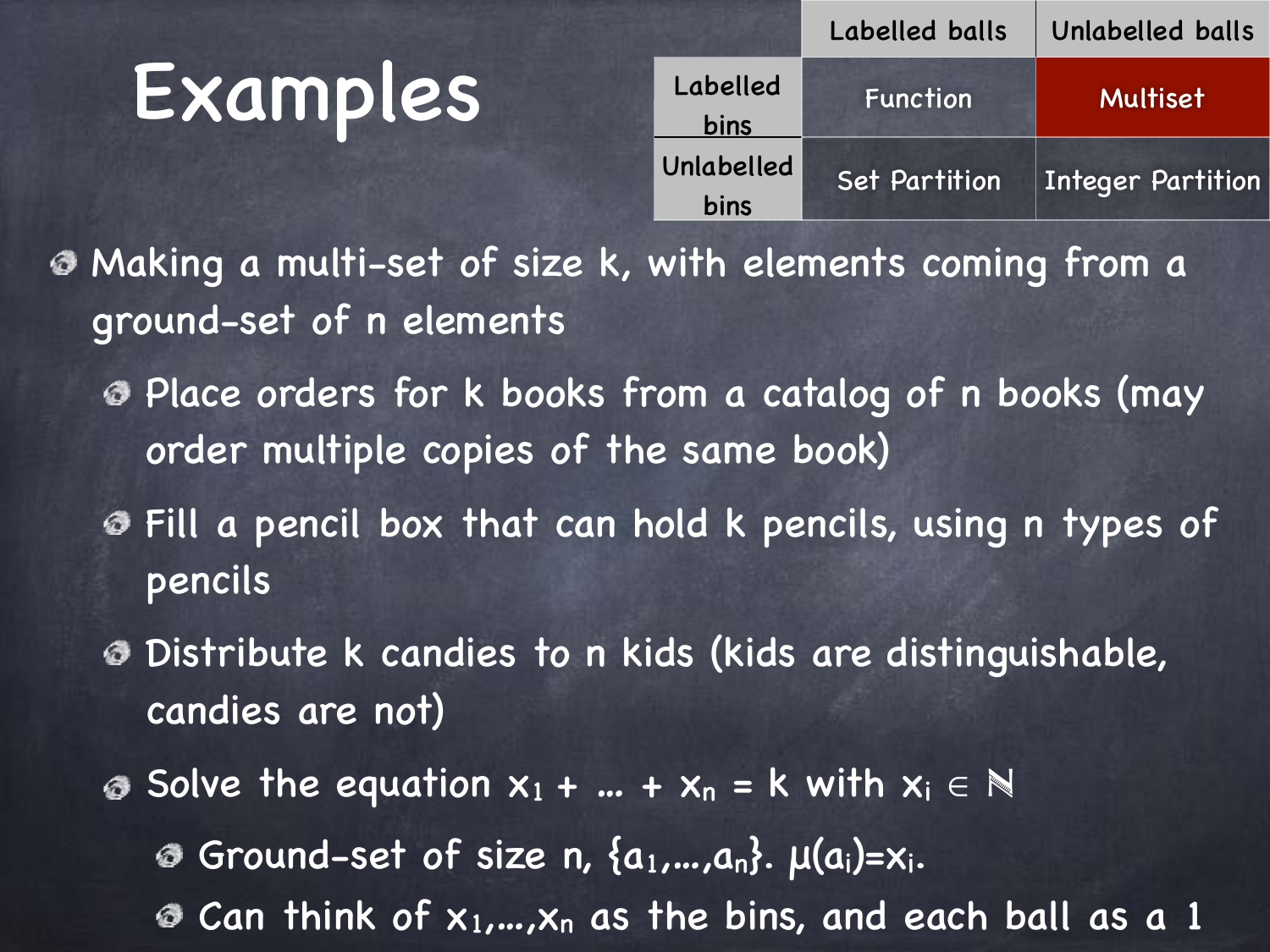#### Examples

|            | Labelled balls       | Unlabelled balls         |  |
|------------|----------------------|--------------------------|--|
| Labelled   | Function             | Multiset                 |  |
| bins       |                      |                          |  |
| Unlabelled | <b>Set Partition</b> | <b>Integer Partition</b> |  |
| bins       |                      |                          |  |

Making a multi-set of size k, with elements coming from a ground-set of n elements

- Place orders for k books from a catalog of n books (may order multiple copies of the same book)
- Fill a pencil box that can hold k pencils, using n types of pencils
- Distribute k candies to n kids (kids are distinguishable, candies are not)
- **■** Solve the equation  $x_1 + ... + x_n = k$  with  $x_i \in \mathbb{N}$ Ground-set of size n,  $\{a_1,...,a_n\}$ .  $\mu(a_i)=x_i$ . Can think of  $x_1,...,x_n$  as the bins, and each ball as a 1 ◎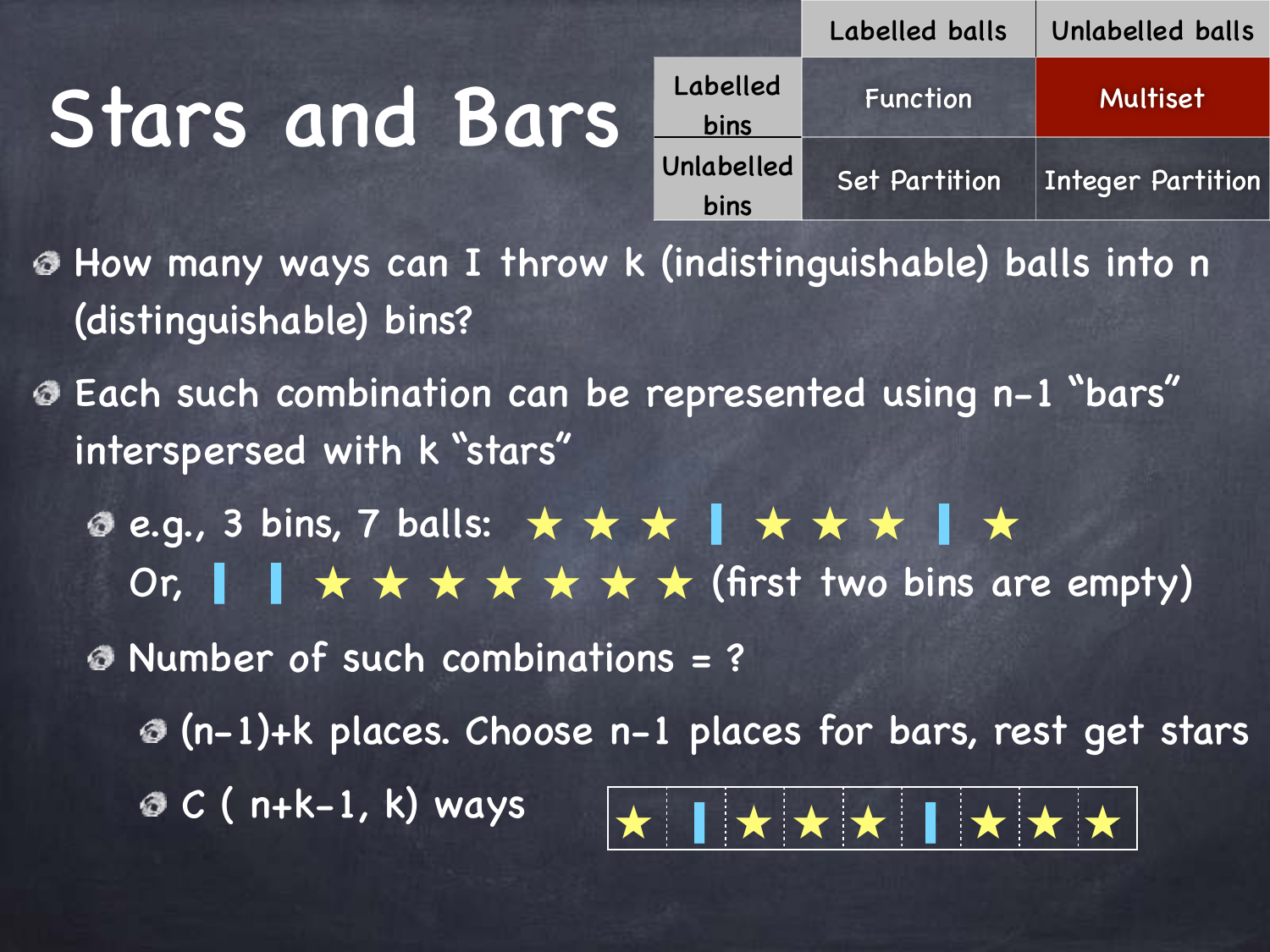# Stars and Bars

|                    | Labelled balls       | Unlabelled balls         |
|--------------------|----------------------|--------------------------|
| Labelled<br>bins   | <b>Function</b>      | <b>Multiset</b>          |
| Unlabelled<br>bins | <b>Set Partition</b> | <b>Integer Partition</b> |

How many ways can I throw k (indistinguishable) balls into n (distinguishable) bins?

Each such combination can be represented using n-1 "bars" interspersed with k "stars"

e.g., 3 bins, 7 balls: ★ ★ ★ ▎★ ★ ★ ▎★

Or, ▎ ▎★ ★ ★ ★ ★ ★ ★ (first two bins are empty)

Number of such combinations = ?

(n-1)+k places. Choose n-1 places for bars, rest get stars

 $\odot$  C ( n+k-1, k) ways

$$
\star \parallel \star \star \star \parallel \star \star \star
$$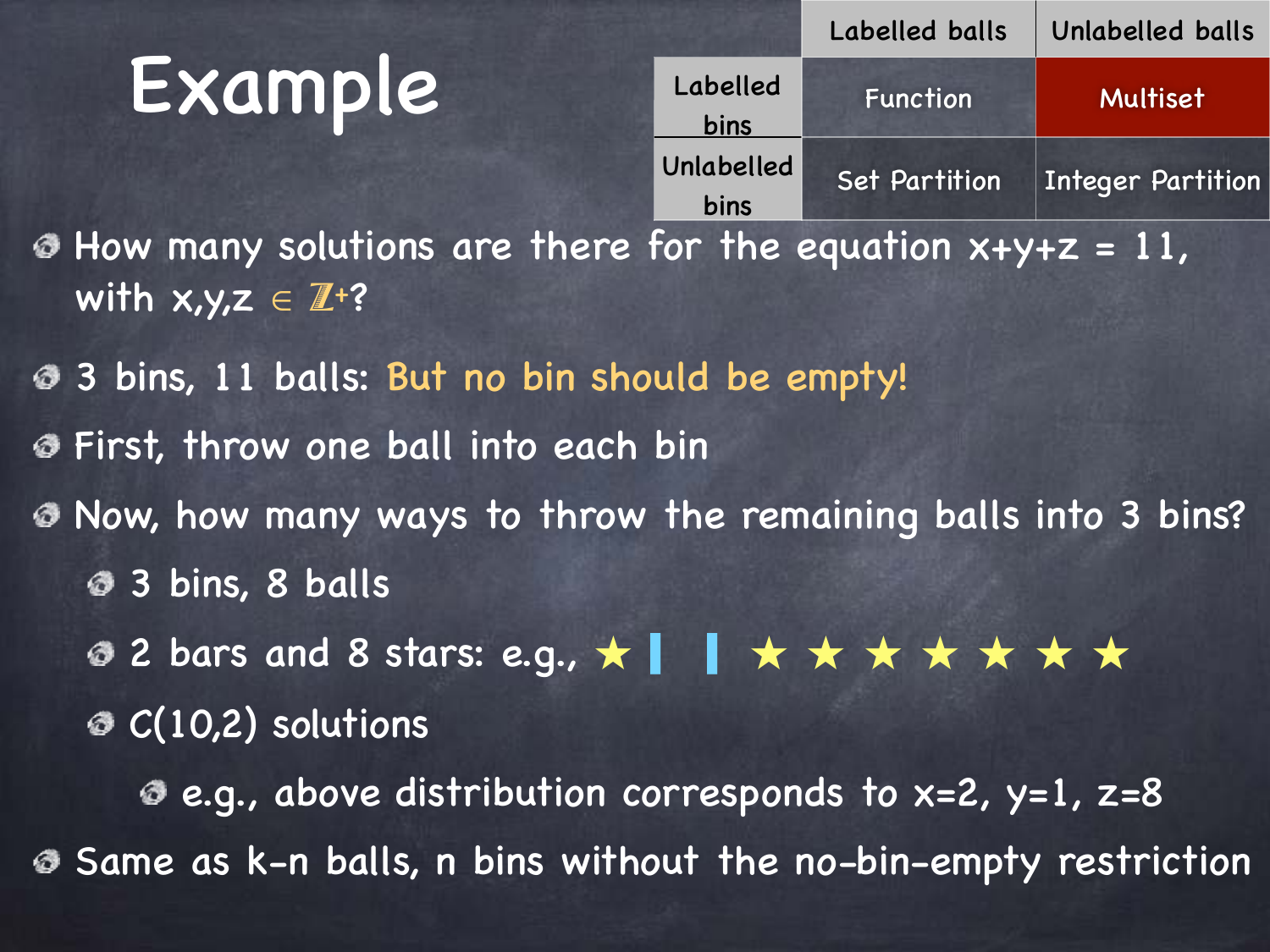#### Example

|                    | Labelled balls                  | Unlabelled balls         |
|--------------------|---------------------------------|--------------------------|
| Labelled<br>bins   | Function                        | Multiset                 |
| Unlabelled<br>bins | <b>Set Partition</b>            | <b>Integer Partition</b> |
|                    | e for the equation $x+y+z=11$ , |                          |

**E** How many solutions are there with  $x,y,z \in \mathbb{Z}^2$ ?

3 bins, 11 balls: But no bin should be empty! First, throw one ball into each bin ◎ Now, how many ways to throw the remaining balls into 3 bins? 3 bins, 8 balls **◎ 2 bars and 8 stars: e.g., ★ | | ★ ★ ★ ★ ★ ★ ★ ★** 

 $C(10,2)$  solutions

 $\bullet$  e.g., above distribution corresponds to x=2, y=1, z=8 Same as k-n balls, n bins without the no-bin-empty restriction ◎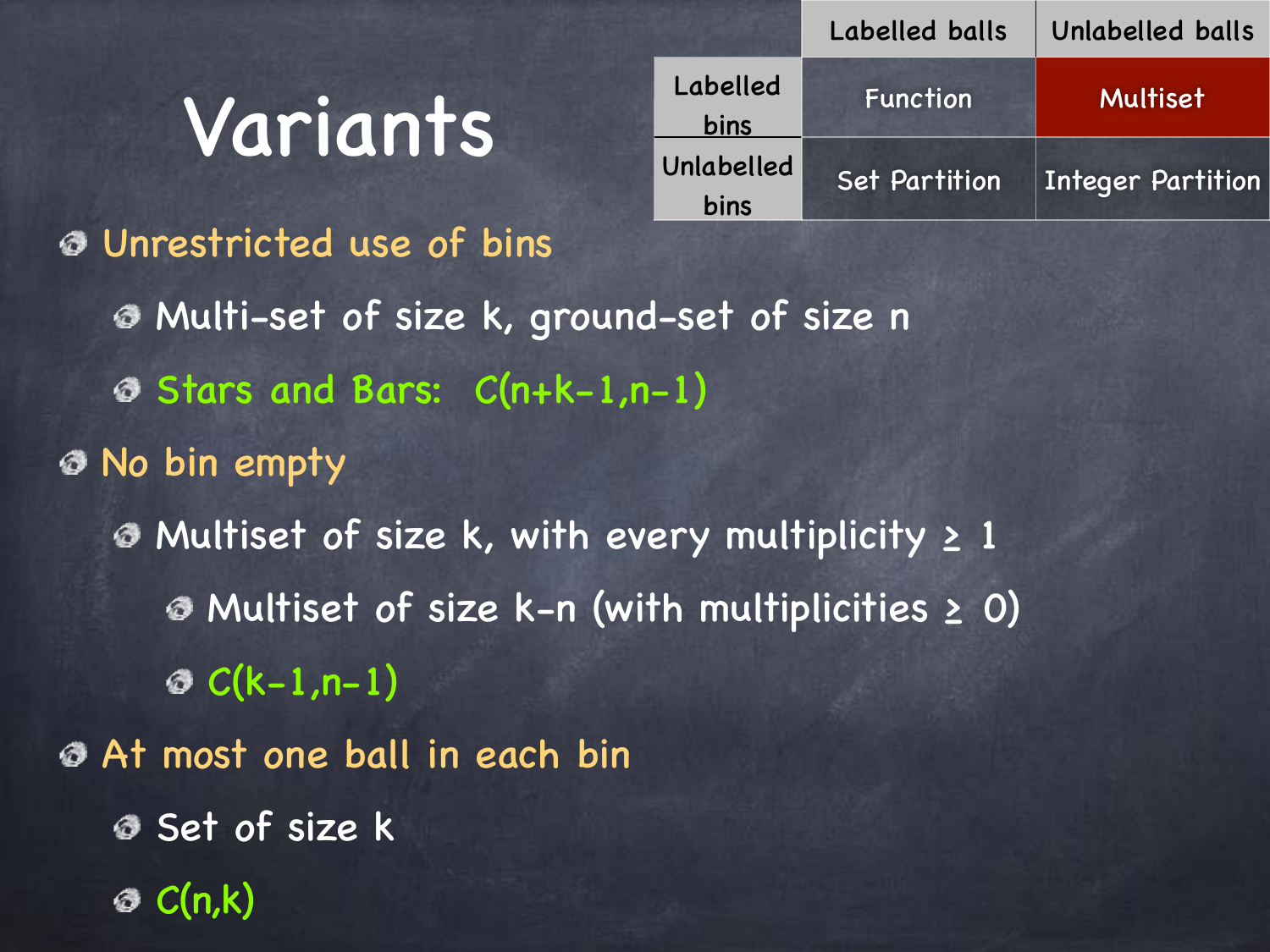#### Variants

|                    | Labelled balls       | Unlabelled balls         |
|--------------------|----------------------|--------------------------|
| Labelled<br>bins   | Function             | Multiset                 |
| Unlabelled<br>bins | <b>Set Partition</b> | <b>Integer Partition</b> |

Unrestricted use of bins Multi-set of size k, ground-set of size n Stars and Bars: C(n+k-1,n-1) No bin empty Multiset of size k, with every multiplicity ≥ 1 Multiset of size k-n (with multiplicities ≥ 0)  $\odot$  C(k-1,n-1) At most one ball in each bin Set of size k  $\otimes$  C(n,k)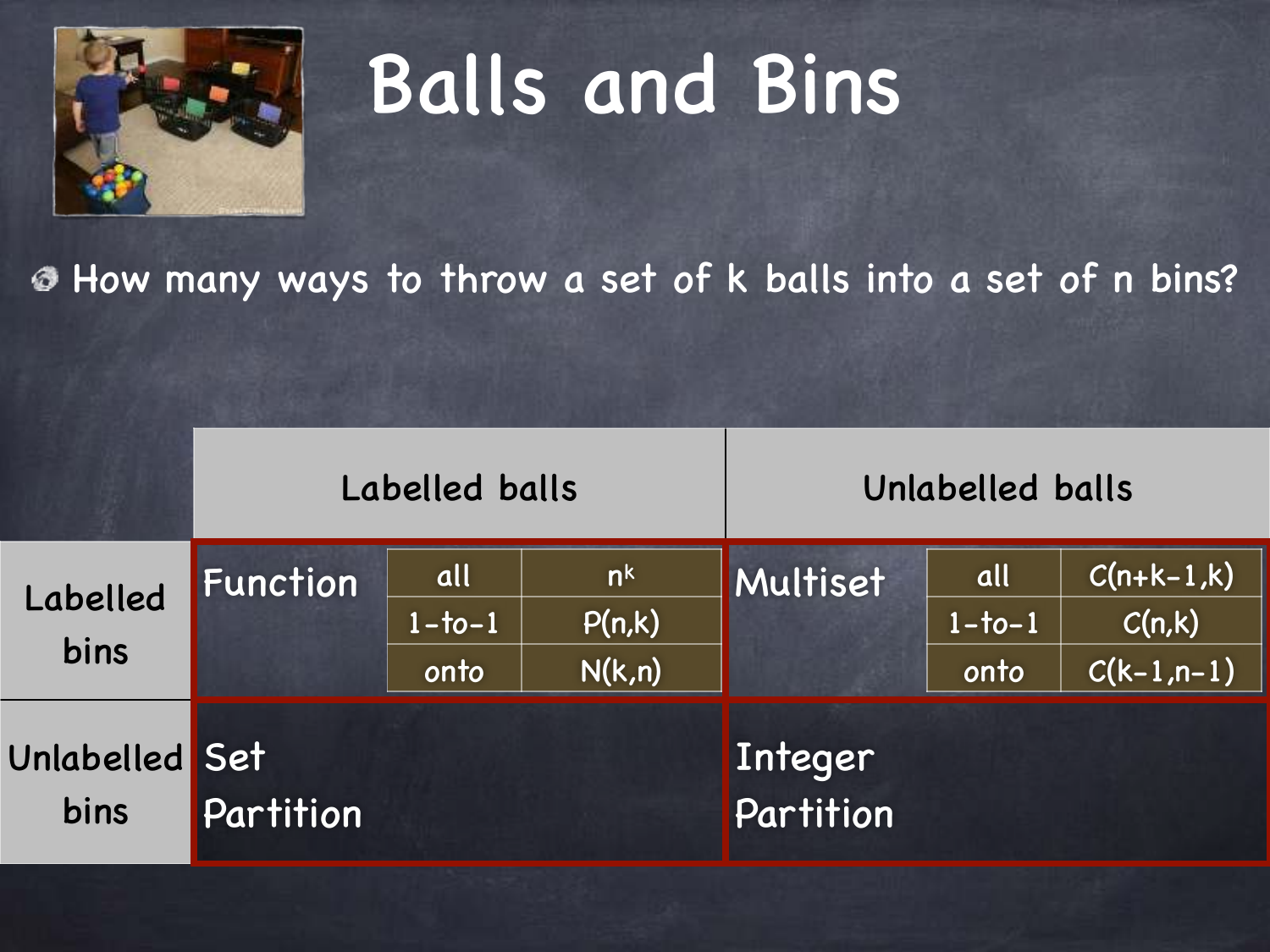

|                        |                 | Labelled balls          |                                    | Unlabelled balls     |                            |                                         |
|------------------------|-----------------|-------------------------|------------------------------------|----------------------|----------------------------|-----------------------------------------|
| Labelled<br>bins       | <b>Function</b> | all<br>$1-to-1$<br>onto | n <sup>k</sup><br>P(n,k)<br>N(k,n) | Multiset             | all<br>$1 - 1 - 1$<br>onto | $C(n+k-1,k)$<br>C(n,k)<br>$C(k-1, n-1)$ |
| Unlabelled Set<br>bins | Partition       |                         |                                    | Integer<br>Partition |                            |                                         |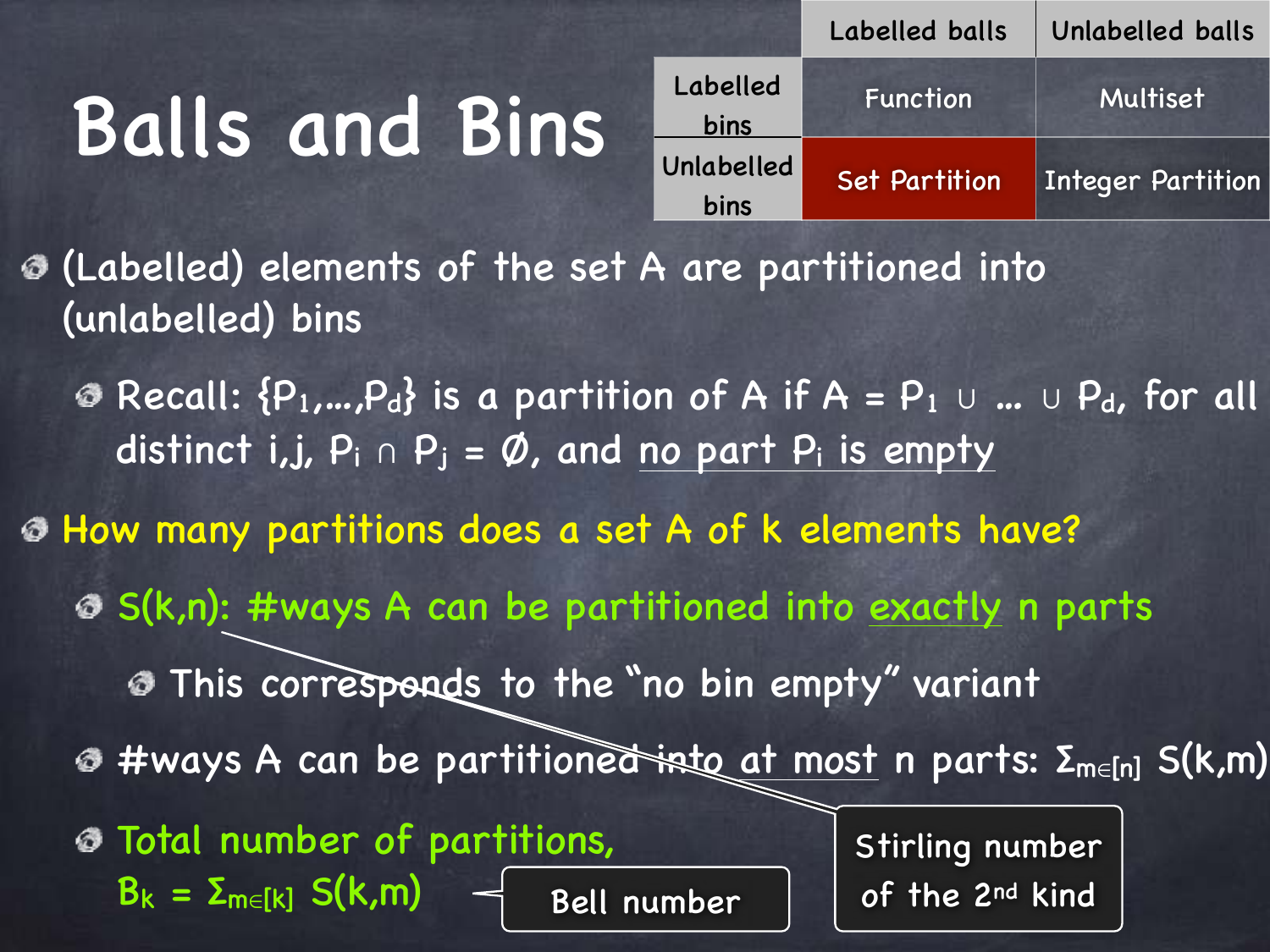|                    | Labelled balls       | Unlabelled balls      |
|--------------------|----------------------|-----------------------|
| Labelled<br>bins   | Function             | Multiset <sup>'</sup> |
| Unlabelled<br>bins | <b>Set Partition</b> | Integer Partition     |

(Labelled) elements of the set A are partitioned into (unlabelled) bins

**©** Recall:  $\{P_1,...,P_d\}$  is a partition of A if A =  $P_1 \cup ... \cup P_d$ , for all distinct i,j,  $P_i \cap P_j = \emptyset$ , and no part  $P_i$  is empty

How many partitions does a set A of k elements have?

**S(k,n): #ways A can be partitioned into exactly n parts** 

This corresponds to the "no bin empty" variant

- **Ø #ways A can be partitione<del>d ist</del>e at most** n parts: Σ<sub>m∈[n]</sub> S(k,m)
- Total number of partitions,  $B_k = \sum_{m \in [k]} S(k,m)$ Bell number

Stirling number of the 2nd kind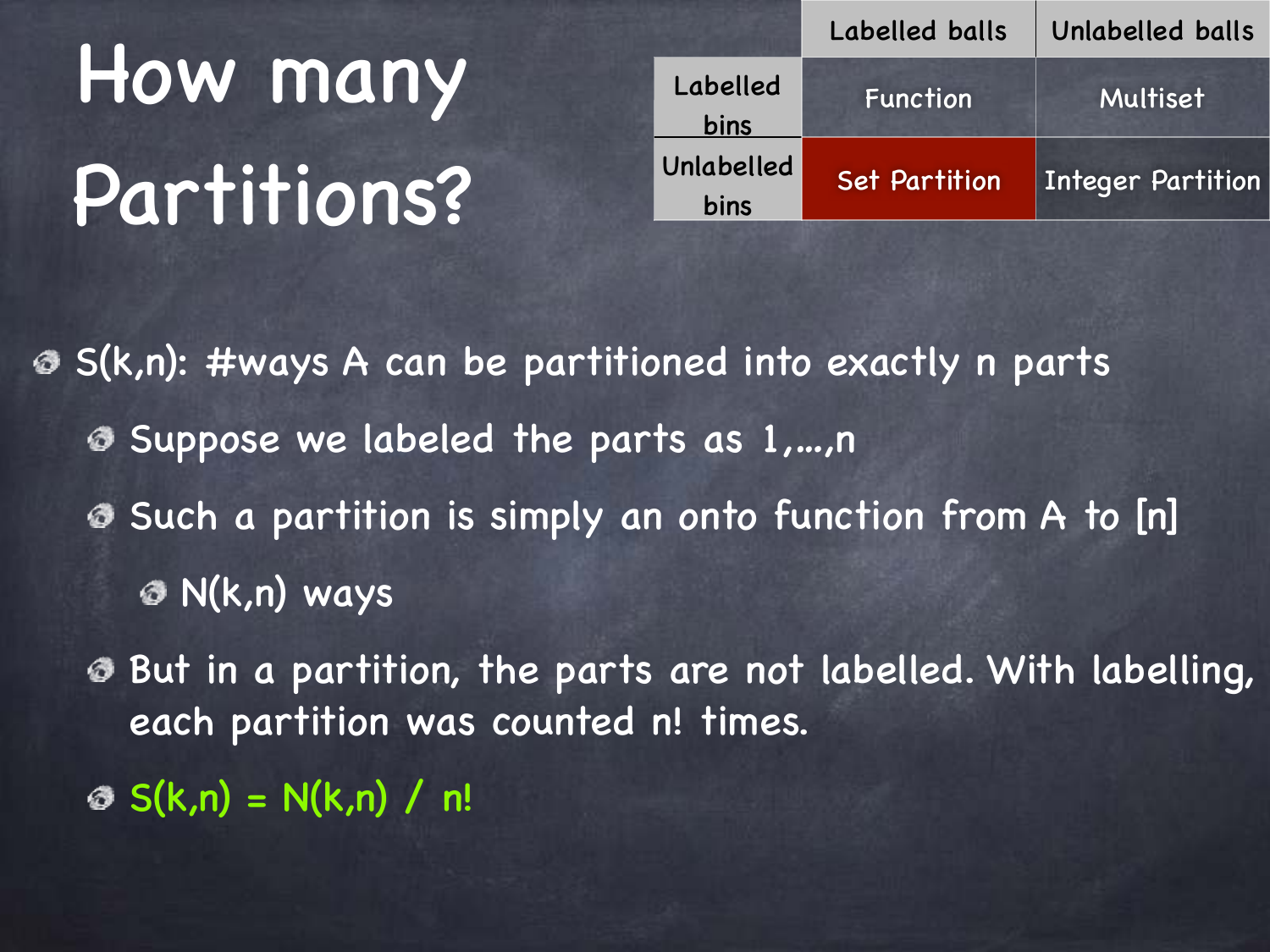# How many Partitions?

|                    | Labelled balls       | Unlabelled balls         |
|--------------------|----------------------|--------------------------|
| Labelled<br>bins   | Function             | Multiset                 |
| Unlabelled<br>bins | <b>Set Partition</b> | <b>Integer Partition</b> |

S(k,n): #ways A can be partitioned into exactly n parts Suppose we labeled the parts as 1,…,n Such a partition is simply an onto function from A to [n] N(k,n) ways

But in a partition, the parts are not labelled. With labelling, each partition was counted n! times.

 $\otimes$  S(k,n) = N(k,n) / n!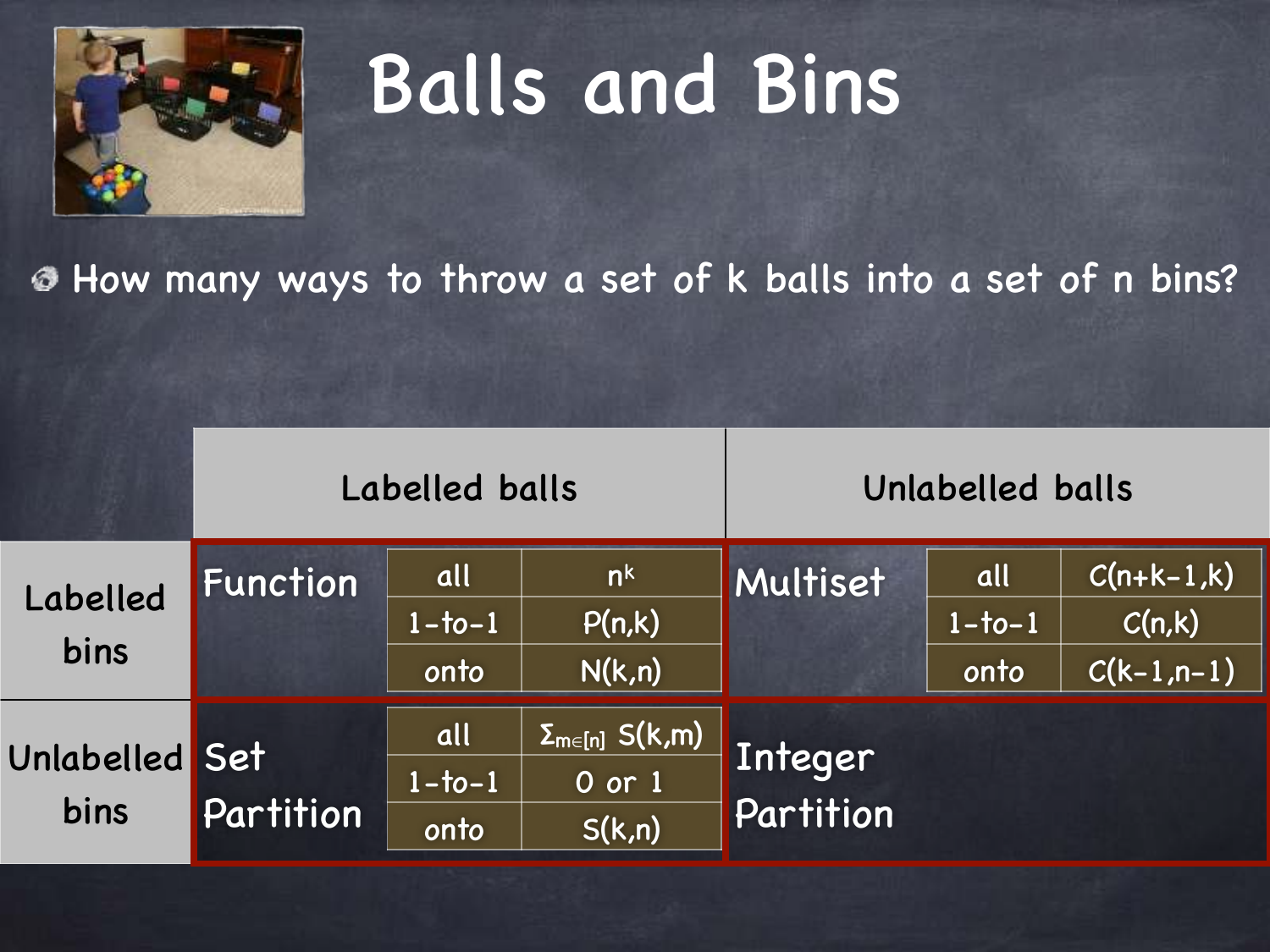

|                        |           | Labelled balls             |                                                              | Unlabelled balls     |                            |                                         |
|------------------------|-----------|----------------------------|--------------------------------------------------------------|----------------------|----------------------------|-----------------------------------------|
| Labelled<br>bins       | Function  | all<br>$1-to-1$<br>onto    | n <sup>k</sup><br>P(n,k)<br>N(k,n)                           | Multiset             | all<br>$1 - 1 - 1$<br>onto | $C(n+k-1,k)$<br>C(n,k)<br>$C(k-1, n-1)$ |
| Unlabelled Set<br>bins | Partition | all<br>$1 - 1 - 1$<br>onto | $\overline{\Sigma_{\sf m\in[n]}}$ S(k,m)<br>0 or 1<br>S(k,n) | Integer<br>Partition |                            |                                         |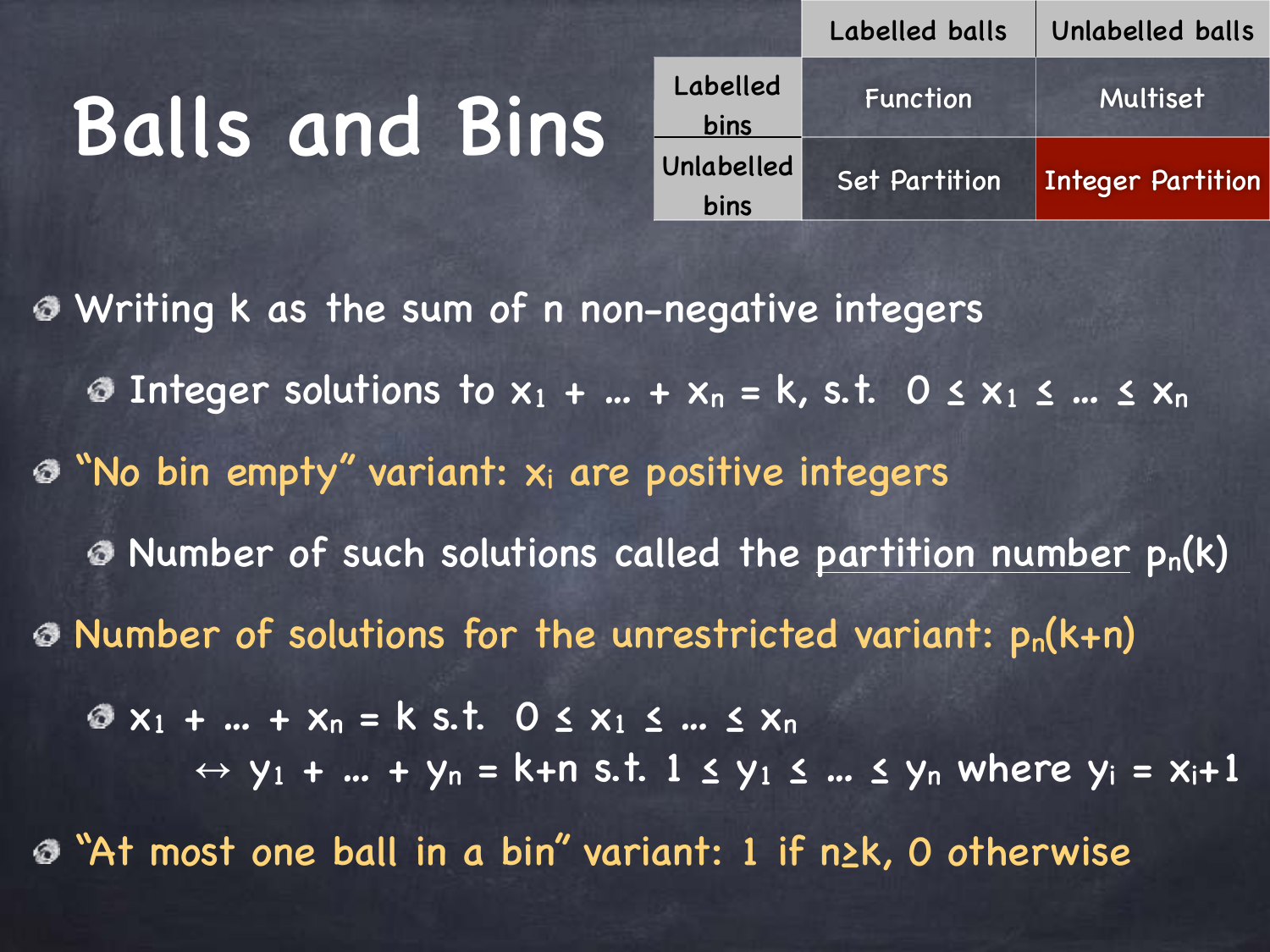|            | Labelled balls       | Unlabelled balls         |  |
|------------|----------------------|--------------------------|--|
| Labelled   | <b>Function</b>      | Multiset                 |  |
| bins       |                      |                          |  |
| Unlabelled | <b>Set Partition</b> | <b>Integer Partition</b> |  |
| bins       |                      |                          |  |

Writing k as the sum of n non-negative integers  $\odot$  **Integer solutions to x<sub>1</sub> + ... + x<sub>n</sub> = k, s.t. 0**  $\leq$  **x<sub>1</sub>**  $\leq$  **...**  $\leq$  **x<sub>n</sub>**  $\odot$  "No bin empty" variant:  $x_i$  are positive integers  $\odot$  Number of such solutions called the partition number  $p_n(k)$  $\odot$  Number of solutions for the unrestricted variant:  $p_n(k+n)$  $\bullet x_1 + ... + x_n = k \text{ s.t. } 0 \leq x_1 \leq ... \leq x_n$  $\leftrightarrow$  y<sub>1</sub> + ... + y<sub>n</sub> = k+n s.t. 1  $\le$  y<sub>1</sub>  $\le$  ...  $\le$  y<sub>n</sub> where y<sub>i</sub> = x<sub>i</sub>+1 "At most one ball in a bin" variant: 1 if n≥k, 0 otherwise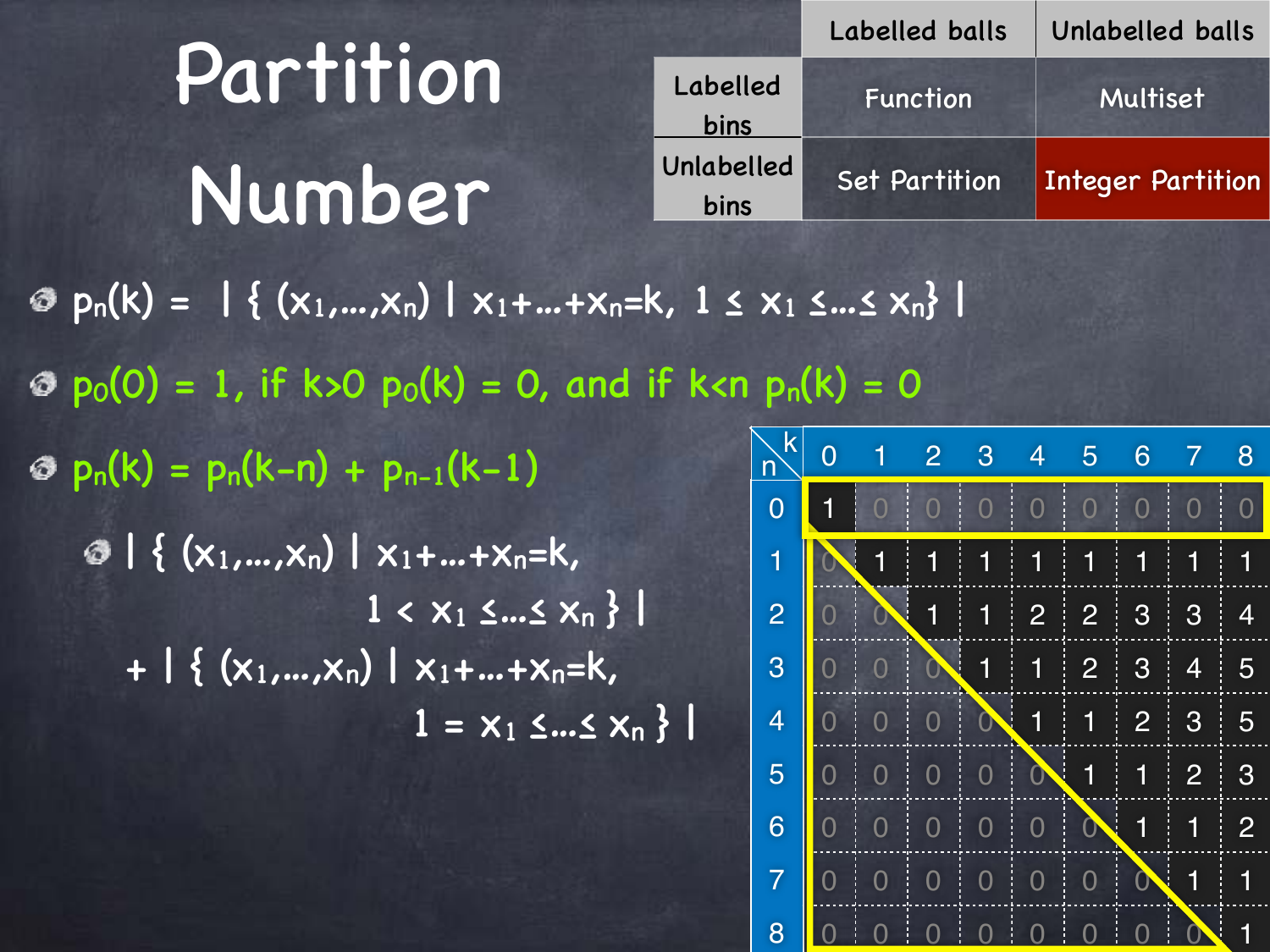$\mathcal{D}_{p_n}(k) = \left| \left\{ (x_1,...,x_n) \mid x_1+...+x_n=k, 1 \le x_1 \le ... \le x_n \right\} \right|$  $\Phi$   $p_0(0) = 1$ , if k>0  $p_0(k) = 0$ , and if k<n  $p_n(k) = 0$  $p_n(k) = p_n(k-n) + p_{n-1}(k-1)$  $\bigcirc$  | {  $(x_1,...,x_n)$  |  $x_1+...+x_n=k$  $1 \leq x_1 \leq ... \leq x_n$  }  $+$  | {  $(x_1,...,x_n)$  |  $x_1+...+x_n=k$ ,  $1 = x_1 \leq ... \leq x_n$ Labelled balls Unlabelled balls Labelled bins Function Multiset Unlabelled bins Set Partition | Integer Partition Partition Number 0 1 2 3 4 5 6 7 8 0 1 0 0 0 0 0 0 0 0 0 0 0 1 0 1 1 1 1 1 1 1 1  $2 0 0 1 1 1 2 2 3 3 4$ 3 0 0 0 1 1 2 3 4 5 4 0 0 0 0 0  $\sim$  1 1 2 3 5 5 0 0 0 0 0 0 0 1 1 2 3 6 0 0 0 0 0 0 0 0 0 0 1 1 1 2 7 0 0 0 0 0 0 0 0 0 0 1 1 k n

8 0 0 0 0 0 0 0 0 0 0 0 0 1